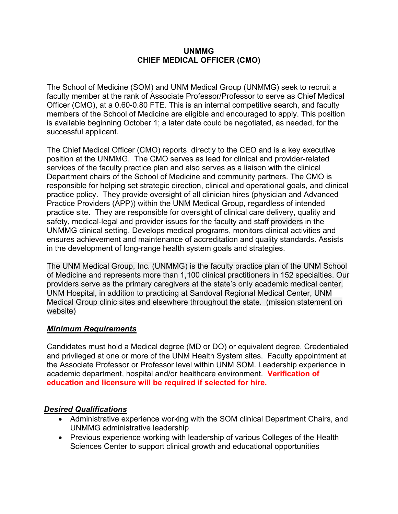#### **UNMMG CHIEF MEDICAL OFFICER (CMO)**

The School of Medicine (SOM) and UNM Medical Group (UNMMG) seek to recruit a faculty member at the rank of Associate Professor/Professor to serve as Chief Medical Officer (CMO), at a 0.60-0.80 FTE. This is an internal competitive search, and faculty members of the School of Medicine are eligible and encouraged to apply. This position is available beginning October 1; a later date could be negotiated, as needed, for the successful applicant.

The Chief Medical Officer (CMO) reports directly to the CEO and is a key executive position at the UNMMG. The CMO serves as lead for clinical and provider-related services of the faculty practice plan and also serves as a liaison with the clinical Department chairs of the School of Medicine and community partners. The CMO is responsible for helping set strategic direction, clinical and operational goals, and clinical practice policy. They provide oversight of all clinician hires (physician and Advanced Practice Providers (APP)) within the UNM Medical Group, regardless of intended practice site. They are responsible for oversight of clinical care delivery, quality and safety, medical-legal and provider issues for the faculty and staff providers in the UNMMG clinical setting. Develops medical programs, monitors clinical activities and ensures achievement and maintenance of accreditation and quality standards. Assists in the development of long-range health system goals and strategies.

The UNM Medical Group, Inc. (UNMMG) is the faculty practice plan of the UNM School of Medicine and represents more than 1,100 clinical practitioners in 152 specialties. Our providers serve as the primary caregivers at the state's only academic medical center, UNM Hospital, in addition to practicing at Sandoval Regional Medical Center, UNM Medical Group clinic sites and elsewhere throughout the state. (mission statement on website)

### *Minimum Requirements*

Candidates must hold a Medical degree (MD or DO) or equivalent degree. Credentialed and privileged at one or more of the UNM Health System sites. Faculty appointment at the Associate Professor or Professor level within UNM SOM. Leadership experience in academic department, hospital and/or healthcare environment. **Verification of education and licensure will be required if selected for hire.**

### *Desired Qualifications*

- Administrative experience working with the SOM clinical Department Chairs, and UNMMG administrative leadership
- Previous experience working with leadership of various Colleges of the Health Sciences Center to support clinical growth and educational opportunities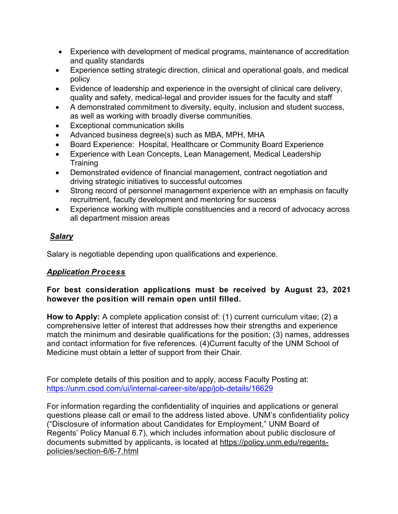- Experience with development of medical programs, maintenance of accreditation and quality standards
- Experience setting strategic direction, clinical and operational goals, and medical policy
- Evidence of leadership and experience in the oversight of clinical care delivery, quality and safety, medical-legal and provider issues for the faculty and staff
- A demonstrated commitment to diversity, equity, inclusion and student success, as well as working with broadly diverse communities.
- **Exceptional communication skills**
- Advanced business degree(s) such as MBA, MPH, MHA
- Board Experience: Hospital, Healthcare or Community Board Experience
- Experience with Lean Concepts, Lean Management, Medical Leadership **Training**
- Demonstrated evidence of financial management, contract negotiation and driving strategic initiatives to successful outcomes
- Strong record of personnel management experience with an emphasis on faculty recruitment, faculty development and mentoring for success
- Experience working with multiple constituencies and a record of advocacy across all department mission areas

# *Salary*

Salary is negotiable depending upon qualifications and experience.

## *Application Process*

## **For best consideration applications must be received by August 23, 2021 however the position will remain open until filled.**

**How to Apply:** A complete application consist of: (1) current curriculum vitae; (2) a comprehensive letter of interest that addresses how their strengths and experience match the minimum and desirable qualifications for the position; (3) names, addresses and contact information for five references. (4)Current faculty of the UNM School of Medicine must obtain a letter of support from their Chair.

For complete details of this position and to apply, access Faculty Posting at: <https://unm.csod.com/ui/internal-career-site/app/job-details/16629>

For information regarding the confidentiality of inquiries and applications or general questions please call or email to the address listed above. UNM's confidentiality policy ("Disclosure of information about Candidates for Employment," UNM Board of Regents' Policy Manual 6.7), which includes information about public disclosure of documents submitted by applicants, is located at [https://policy.unm.edu/regents](https://policy.unm.edu/regents-policies/section-6/6-7.html)[policies/section-6/6-7.html](https://policy.unm.edu/regents-policies/section-6/6-7.html)